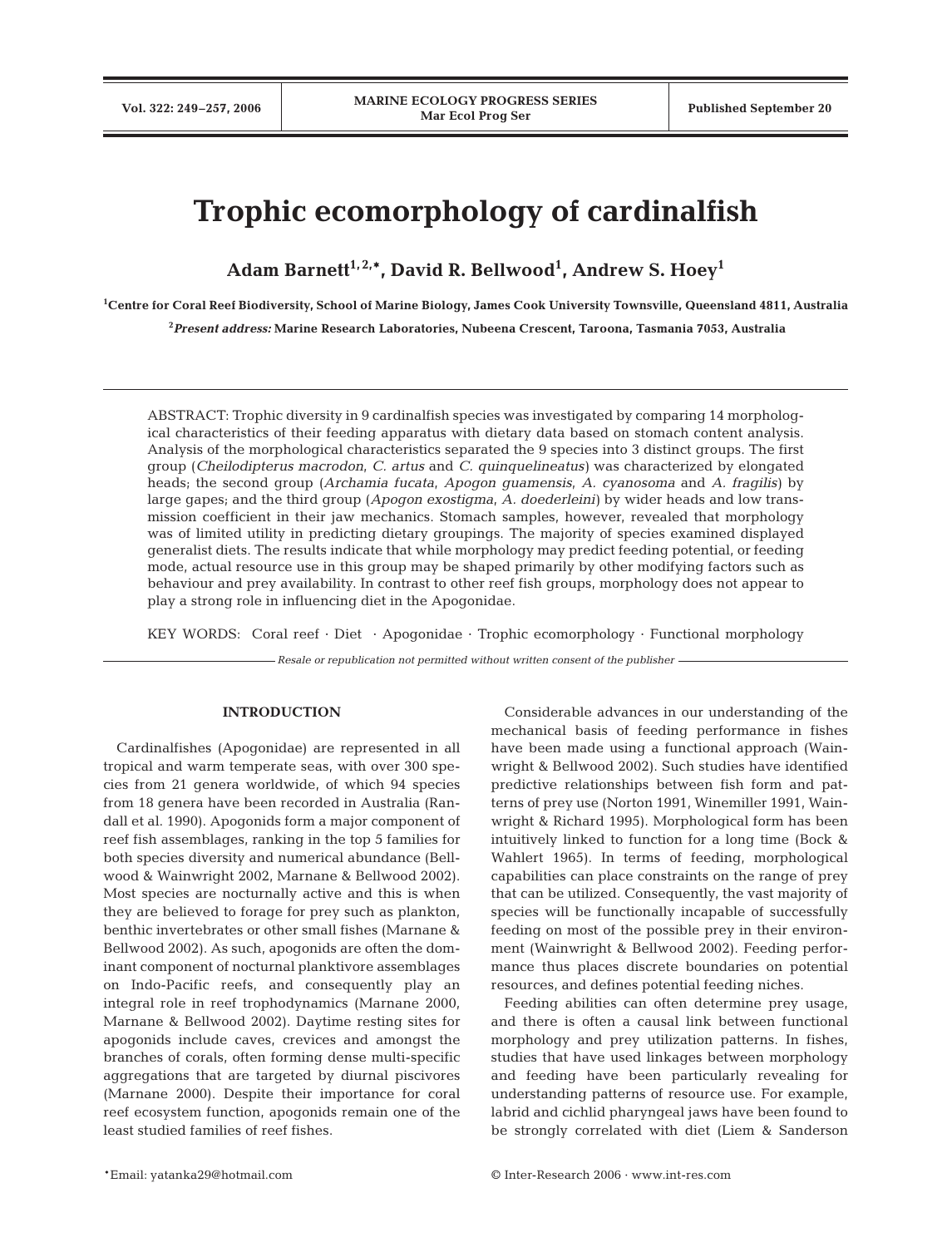# **Trophic ecomorphology of cardinalfish**

**Adam Barnett1, 2,\*, David R. Bellwood1 , Andrew S. Hoey1**

**1 Centre for Coral Reef Biodiversity, School of Marine Biology, James Cook University Townsville, Queensland 4811, Australia**

**2** *Present address:* **Marine Research Laboratories, Nubeena Crescent, Taroona, Tasmania 7053, Australia**

ABSTRACT: Trophic diversity in 9 cardinalfish species was investigated by comparing 14 morphological characteristics of their feeding apparatus with dietary data based on stomach content analysis. Analysis of the morphological characteristics separated the 9 species into 3 distinct groups. The first group (*Cheilodipterus macrodon*, *C. artus* and *C. quinquelineatus)* was characterized by elongated heads; the second group (*Archamia fucata*, *Apogon guamensis, A. cyanosoma* and *A. fragilis)* by large gapes; and the third group (*Apogon exostigma*, *A. doederleini)* by wider heads and low transmission coefficient in their jaw mechanics. Stomach samples, however, revealed that morphology was of limited utility in predicting dietary groupings. The majority of species examined displayed generalist diets. The results indicate that while morphology may predict feeding potential, or feeding mode, actual resource use in this group may be shaped primarily by other modifying factors such as behaviour and prey availability. In contrast to other reef fish groups, morphology does not appear to play a strong role in influencing diet in the Apogonidae.

KEY WORDS: Coral reef · Diet · Apogonidae · Trophic ecomorphology · Functional morphology

*Resale or republication not permitted without written consent of the publisher*

## **INTRODUCTION**

Cardinalfishes (Apogonidae) are represented in all tropical and warm temperate seas, with over 300 species from 21 genera worldwide, of which 94 species from 18 genera have been recorded in Australia (Randall et al. 1990). Apogonids form a major component of reef fish assemblages, ranking in the top 5 families for both species diversity and numerical abundance (Bellwood & Wainwright 2002, Marnane & Bellwood 2002). Most species are nocturnally active and this is when they are believed to forage for prey such as plankton, benthic invertebrates or other small fishes (Marnane & Bellwood 2002). As such, apogonids are often the dominant component of nocturnal planktivore assemblages on Indo-Pacific reefs, and consequently play an integral role in reef trophodynamics (Marnane 2000, Marnane & Bellwood 2002). Daytime resting sites for apogonids include caves, crevices and amongst the branches of corals, often forming dense multi-specific aggregations that are targeted by diurnal piscivores (Marnane 2000). Despite their importance for coral reef ecosystem function, apogonids remain one of the least studied families of reef fishes.

Considerable advances in our understanding of the mechanical basis of feeding performance in fishes have been made using a functional approach (Wainwright & Bellwood 2002). Such studies have identified predictive relationships between fish form and patterns of prey use (Norton 1991, Winemiller 1991, Wainwright & Richard 1995). Morphological form has been intuitively linked to function for a long time (Bock & Wahlert 1965). In terms of feeding, morphological capabilities can place constraints on the range of prey that can be utilized. Consequently, the vast majority of species will be functionally incapable of successfully feeding on most of the possible prey in their environment (Wainwright & Bellwood 2002). Feeding performance thus places discrete boundaries on potential resources, and defines potential feeding niches.

Feeding abilities can often determine prey usage, and there is often a causal link between functional morphology and prey utilization patterns. In fishes, studies that have used linkages between morphology and feeding have been particularly revealing for understanding patterns of resource use. For example, labrid and cichlid pharyngeal jaws have been found to be strongly correlated with diet (Liem & Sanderson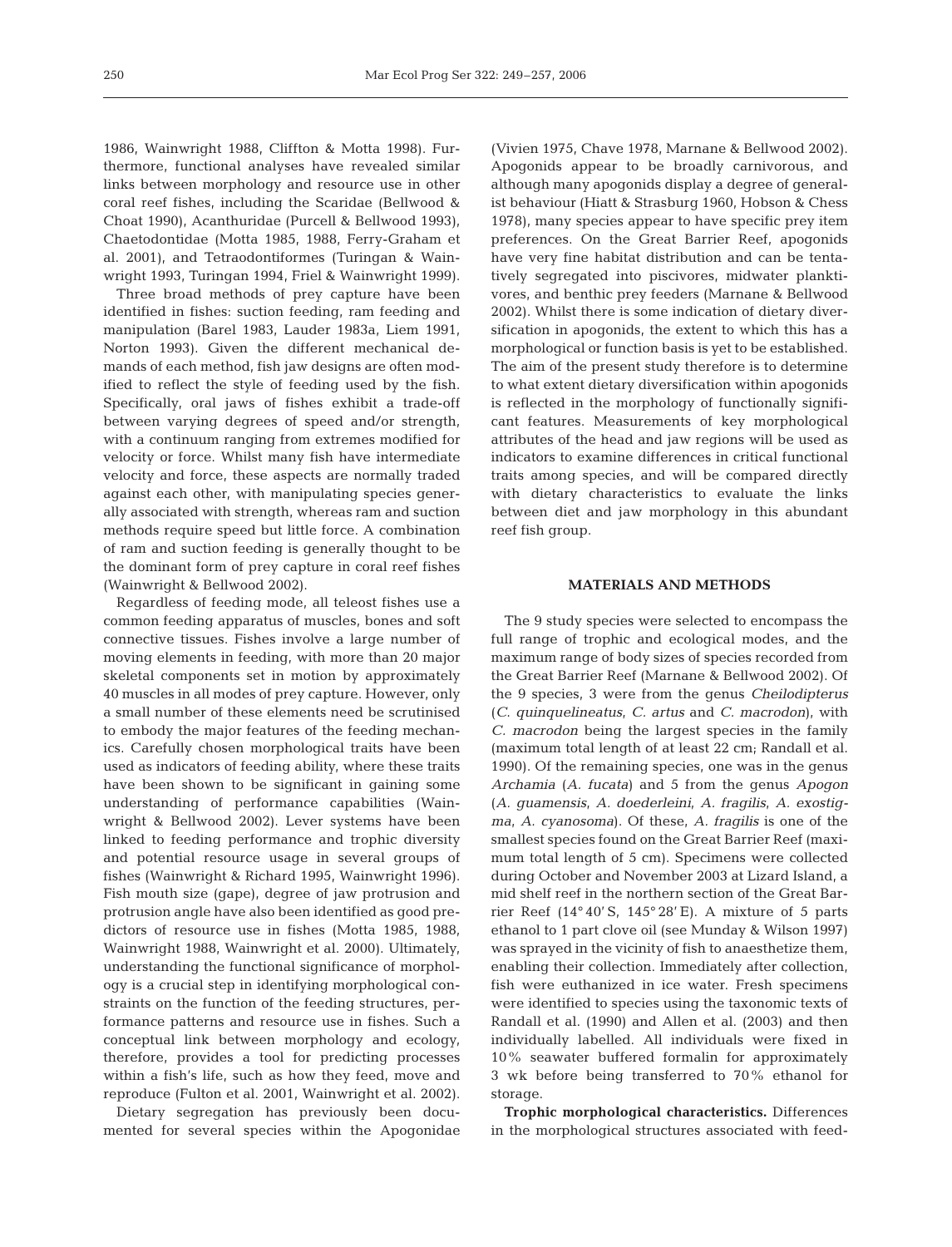1986, Wainwright 1988, Cliffton & Motta 1998). Furthermore, functional analyses have revealed similar links between morphology and resource use in other coral reef fishes, including the Scaridae (Bellwood & Choat 1990), Acanthuridae (Purcell & Bellwood 1993), Chaetodontidae (Motta 1985, 1988, Ferry-Graham et al. 2001), and Tetraodontiformes (Turingan & Wainwright 1993, Turingan 1994, Friel & Wainwright 1999).

Three broad methods of prey capture have been identified in fishes: suction feeding, ram feeding and manipulation (Barel 1983, Lauder 1983a, Liem 1991, Norton 1993). Given the different mechanical demands of each method, fish jaw designs are often modified to reflect the style of feeding used by the fish. Specifically, oral jaws of fishes exhibit a trade-off between varying degrees of speed and/or strength, with a continuum ranging from extremes modified for velocity or force. Whilst many fish have intermediate velocity and force, these aspects are normally traded against each other, with manipulating species generally associated with strength, whereas ram and suction methods require speed but little force. A combination of ram and suction feeding is generally thought to be the dominant form of prey capture in coral reef fishes (Wainwright & Bellwood 2002).

Regardless of feeding mode, all teleost fishes use a common feeding apparatus of muscles, bones and soft connective tissues. Fishes involve a large number of moving elements in feeding, with more than 20 major skeletal components set in motion by approximately 40 muscles in all modes of prey capture. However, only a small number of these elements need be scrutinised to embody the major features of the feeding mechanics. Carefully chosen morphological traits have been used as indicators of feeding ability, where these traits have been shown to be significant in gaining some understanding of performance capabilities (Wainwright & Bellwood 2002). Lever systems have been linked to feeding performance and trophic diversity and potential resource usage in several groups of fishes (Wainwright & Richard 1995, Wainwright 1996). Fish mouth size (gape), degree of jaw protrusion and protrusion angle have also been identified as good predictors of resource use in fishes (Motta 1985, 1988, Wainwright 1988, Wainwright et al. 2000). Ultimately, understanding the functional significance of morphology is a crucial step in identifying morphological constraints on the function of the feeding structures, performance patterns and resource use in fishes. Such a conceptual link between morphology and ecology, therefore, provides a tool for predicting processes within a fish's life, such as how they feed, move and reproduce (Fulton et al. 2001, Wainwright et al. 2002).

Dietary segregation has previously been documented for several species within the Apogonidae (Vivien 1975, Chave 1978, Marnane & Bellwood 2002). Apogonids appear to be broadly carnivorous, and although many apogonids display a degree of generalist behaviour (Hiatt & Strasburg 1960, Hobson & Chess 1978), many species appear to have specific prey item preferences. On the Great Barrier Reef, apogonids have very fine habitat distribution and can be tentatively segregated into piscivores, midwater planktivores, and benthic prey feeders (Marnane & Bellwood 2002). Whilst there is some indication of dietary diversification in apogonids, the extent to which this has a morphological or function basis is yet to be established. The aim of the present study therefore is to determine to what extent dietary diversification within apogonids is reflected in the morphology of functionally significant features. Measurements of key morphological attributes of the head and jaw regions will be used as indicators to examine differences in critical functional traits among species, and will be compared directly with dietary characteristics to evaluate the links between diet and jaw morphology in this abundant reef fish group.

## **MATERIALS AND METHODS**

The 9 study species were selected to encompass the full range of trophic and ecological modes, and the maximum range of body sizes of species recorded from the Great Barrier Reef (Marnane & Bellwood 2002). Of the 9 species, 3 were from the genus *Cheilodipterus* (*C*. *quinquelineatus, C. artus* and *C. macrodon*), with *C. macrodon* being the largest species in the family (maximum total length of at least 22 cm; Randall et al. 1990). Of the remaining species, one was in the genus *Archamia* (*A. fucata*) and 5 from the genus *Apogon* (*A. guamensis, A. doederleini, A. fragilis, A. exostigma, A. cyanosoma*). Of these, *A. fragilis* is one of the smallest species found on the Great Barrier Reef (maximum total length of 5 cm). Specimens were collected during October and November 2003 at Lizard Island, a mid shelf reef in the northern section of the Great Barrier Reef  $(14^{\circ}40^{\prime} S, 145^{\circ}28^{\prime} E)$ . A mixture of 5 parts ethanol to 1 part clove oil (see Munday & Wilson 1997) was sprayed in the vicinity of fish to anaesthetize them, enabling their collection. Immediately after collection, fish were euthanized in ice water. Fresh specimens were identified to species using the taxonomic texts of Randall et al. (1990) and Allen et al. (2003) and then individually labelled. All individuals were fixed in 10% seawater buffered formalin for approximately 3 wk before being transferred to 70% ethanol for storage.

**Trophic morphological characteristics.** Differences in the morphological structures associated with feed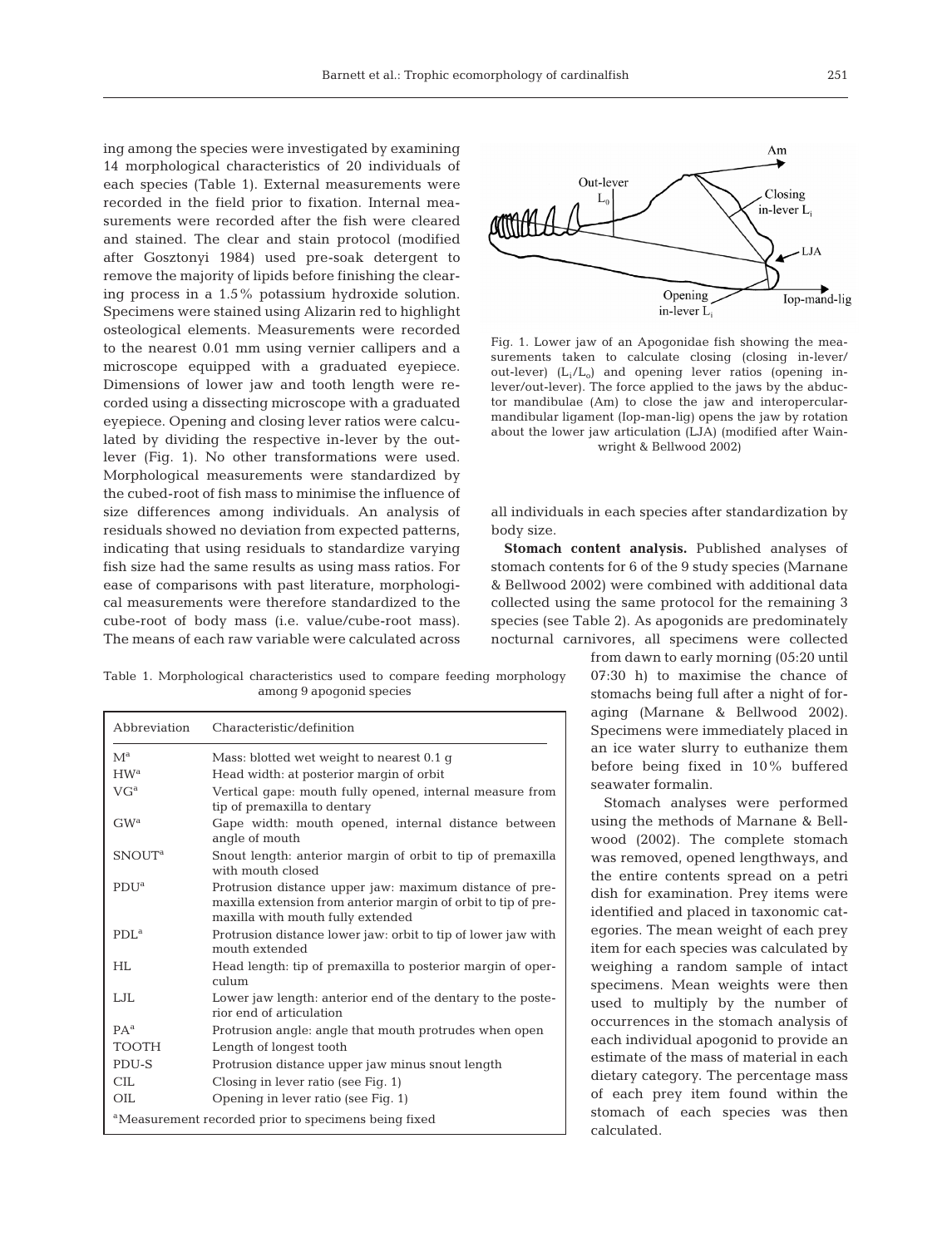ing among the species were investigated by examining 14 morphological characteristics of 20 individuals of each species (Table 1). External measurements were recorded in the field prior to fixation. Internal measurements were recorded after the fish were cleared and stained. The clear and stain protocol (modified after Gosztonyi 1984) used pre-soak detergent to remove the majority of lipids before finishing the clearing process in a 1.5% potassium hydroxide solution. Specimens were stained using Alizarin red to highlight osteological elements. Measurements were recorded to the nearest 0.01 mm using vernier callipers and a microscope equipped with a graduated eyepiece. Dimensions of lower jaw and tooth length were recorded using a dissecting microscope with a graduated eyepiece. Opening and closing lever ratios were calculated by dividing the respective in-lever by the outlever (Fig. 1). No other transformations were used. Morphological measurements were standardized by the cubed-root of fish mass to minimise the influence of size differences among individuals. An analysis of residuals showed no deviation from expected patterns, indicating that using residuals to standardize varying fish size had the same results as using mass ratios. For ease of comparisons with past literature, morphological measurements were therefore standardized to the cube-root of body mass (i.e. value/cube-root mass). The means of each raw variable were calculated across

Table 1. Morphological characteristics used to compare feeding morphology among 9 apogonid species

| Abbreviation             | Characteristic/definition                                                                                                                                      |
|--------------------------|----------------------------------------------------------------------------------------------------------------------------------------------------------------|
| $M^a$                    | Mass: blotted wet weight to nearest 0.1 g                                                                                                                      |
| HW <sup>a</sup>          | Head width: at posterior margin of orbit                                                                                                                       |
| $VG^a$                   | Vertical gape: mouth fully opened, internal measure from<br>tip of premaxilla to dentary                                                                       |
| GW <sup>a</sup>          | Gape width: mouth opened, internal distance between<br>angle of mouth                                                                                          |
| <b>SNOUT<sup>a</sup></b> | Snout length: anterior margin of orbit to tip of premaxilla<br>with mouth closed                                                                               |
| PDU <sup>a</sup>         | Protrusion distance upper jaw: maximum distance of pre-<br>maxilla extension from anterior margin of orbit to tip of pre-<br>maxilla with mouth fully extended |
| PDL <sup>a</sup>         | Protrusion distance lower jaw: orbit to tip of lower jaw with<br>mouth extended                                                                                |
| <b>HL</b>                | Head length: tip of premaxilla to posterior margin of oper-<br>culum                                                                                           |
| LJL.                     | Lower jaw length: anterior end of the dentary to the poste-<br>rior end of articulation                                                                        |
| PA <sup>a</sup>          | Protrusion angle: angle that mouth protrudes when open                                                                                                         |
| <b>TOOTH</b>             | Length of longest tooth                                                                                                                                        |
| PDU-S                    | Protrusion distance upper jaw minus snout length                                                                                                               |
| <b>CIL</b>               | Closing in lever ratio (see Fig. 1)                                                                                                                            |
| OIL                      | Opening in lever ratio (see Fig. 1)                                                                                                                            |
|                          | <sup>a</sup> Measurement recorded prior to specimens being fixed                                                                                               |



Fig. 1. Lower jaw of an Apogonidae fish showing the measurements taken to calculate closing (closing in-lever/ out-lever)  $(L_i/L_o)$  and opening lever ratios (opening inlever/out-lever). The force applied to the jaws by the abductor mandibulae (Am) to close the jaw and interopercularmandibular ligament (Iop-man-lig) opens the jaw by rotation about the lower jaw articulation (LJA) (modified after Wainwright & Bellwood 2002)

all individuals in each species after standardization by body size.

**Stomach content analysis.** Published analyses of stomach contents for 6 of the 9 study species (Marnane & Bellwood 2002) were combined with additional data collected using the same protocol for the remaining 3 species (see Table 2). As apogonids are predominately nocturnal carnivores, all specimens were collected

> from dawn to early morning (05:20 until 07:30 h) to maximise the chance of stomachs being full after a night of foraging (Marnane & Bellwood 2002). Specimens were immediately placed in an ice water slurry to euthanize them before being fixed in 10% buffered seawater formalin.

> Stomach analyses were performed using the methods of Marnane & Bellwood (2002). The complete stomach was removed, opened lengthways, and the entire contents spread on a petri dish for examination. Prey items were identified and placed in taxonomic categories. The mean weight of each prey item for each species was calculated by weighing a random sample of intact specimens. Mean weights were then used to multiply by the number of occurrences in the stomach analysis of each individual apogonid to provide an estimate of the mass of material in each dietary category. The percentage mass of each prey item found within the stomach of each species was then calculated.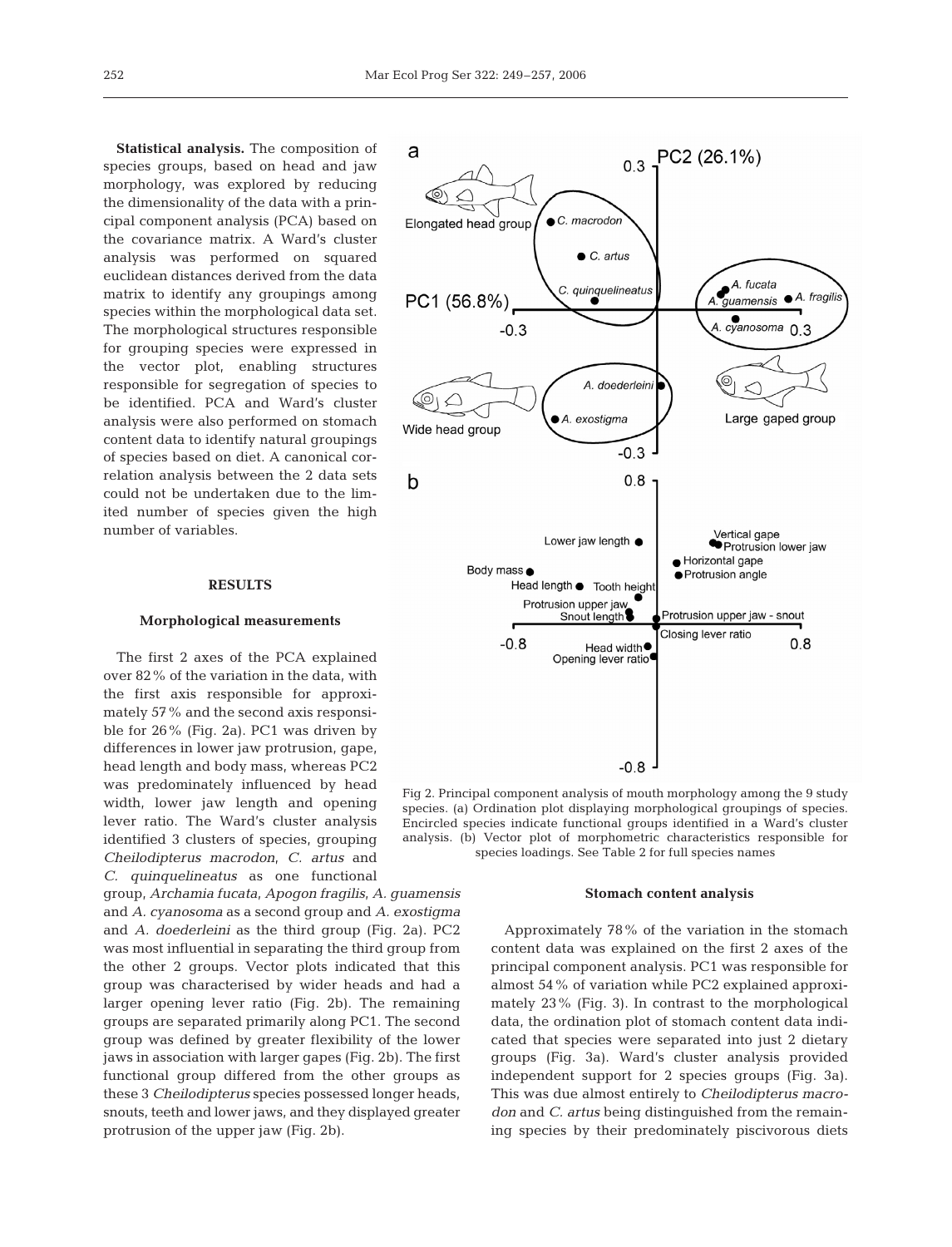**Statistical analysis.** The composition of species groups, based on head and jaw morphology, was explored by reducing the dimensionality of the data with a principal component analysis (PCA) based on the covariance matrix. A Ward's cluster analysis was performed on squared euclidean distances derived from the data matrix to identify any groupings among species within the morphological data set. The morphological structures responsible for grouping species were expressed in the vector plot, enabling structures responsible for segregation of species to be identified. PCA and Ward's cluster analysis were also performed on stomach content data to identify natural groupings of species based on diet. A canonical correlation analysis between the 2 data sets could not be undertaken due to the limited number of species given the high number of variables.

## **RESULTS**

#### **Morphological measurements**

The first 2 axes of the PCA explained over 82% of the variation in the data, with the first axis responsible for approximately 57% and the second axis responsible for 26% (Fig. 2a). PC1 was driven by differences in lower jaw protrusion, gape, head length and body mass, whereas PC2 was predominately influenced by head width, lower jaw length and opening lever ratio. The Ward's cluster analysis identified 3 clusters of species, grouping *Cheilodipterus macrodon, C. artus* and *C. quinquelineatus* as one functional

group, *Archamia fucata, Apogon fragilis, A. guamensis* and *A. cyanosoma* as a second group and *A. exostigma* and *A. doederleini* as the third group (Fig. 2a). PC2 was most influential in separating the third group from the other 2 groups. Vector plots indicated that this group was characterised by wider heads and had a larger opening lever ratio (Fig. 2b). The remaining groups are separated primarily along PC1. The second group was defined by greater flexibility of the lower jaws in association with larger gapes (Fig. 2b). The first functional group differed from the other groups as these 3 *Cheilodipterus* species possessed longer heads, snouts, teeth and lower jaws, and they displayed greater protrusion of the upper jaw (Fig. 2b).



Fig 2. Principal component analysis of mouth morphology among the 9 study species. (a) Ordination plot displaying morphological groupings of species. Encircled species indicate functional groups identified in a Ward's cluster analysis. (b) Vector plot of morphometric characteristics responsible for species loadings. See Table 2 for full species names

#### **Stomach content analysis**

Approximately 78% of the variation in the stomach content data was explained on the first 2 axes of the principal component analysis. PC1 was responsible for almost 54% of variation while PC2 explained approximately 23% (Fig. 3). In contrast to the morphological data, the ordination plot of stomach content data indicated that species were separated into just 2 dietary groups (Fig. 3a). Ward's cluster analysis provided independent support for 2 species groups (Fig. 3a). This was due almost entirely to *Cheilodipterus macrodon* and *C. artus* being distinguished from the remaining species by their predominately piscivorous diets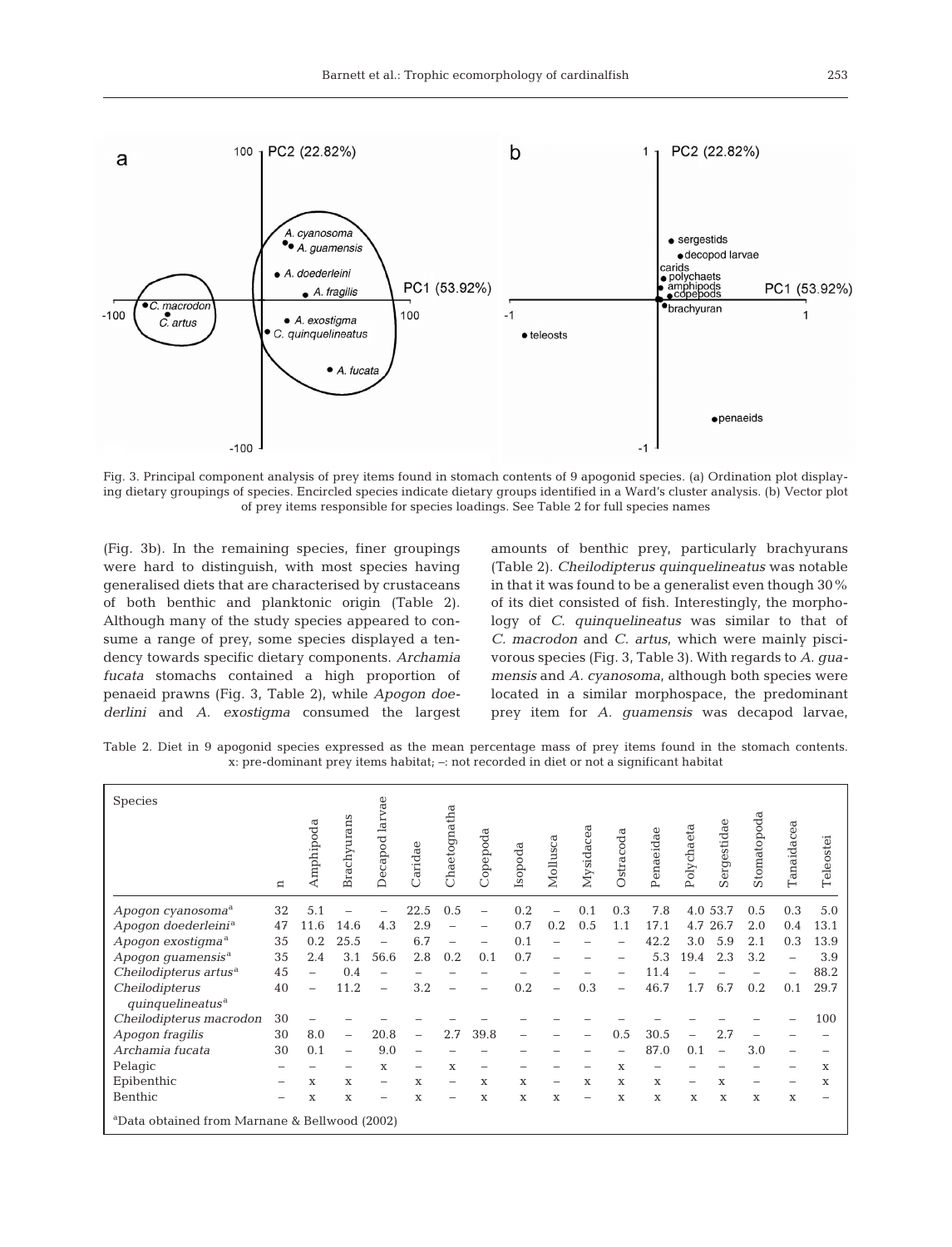

Fig. 3. Principal component analysis of prey items found in stomach contents of 9 apogonid species. (a) Ordination plot displaying dietary groupings of species. Encircled species indicate dietary groups identified in a Ward's cluster analysis. (b) Vector plot of prey items responsible for species loadings. See Table 2 for full species names

(Fig. 3b). In the remaining species, finer groupings were hard to distinguish, with most species having generalised diets that are characterised by crustaceans of both benthic and planktonic origin (Table 2). Although many of the study species appeared to consume a range of prey, some species displayed a tendency towards specific dietary components. *Archamia fucata* stomachs contained a high proportion of penaeid prawns (Fig. 3, Table 2), while *Apogon doederlini* and *A. exostigma* consumed the largest

amounts of benthic prey, particularly brachyurans (Table 2). *Cheilodipterus quinquelineatus* was notable in that it was found to be a generalist even though 30% of its diet consisted of fish. Interestingly, the morphology of *C. quinquelineatus* was similar to that of *C. macrodon* and *C. artus,* which were mainly piscivorous species (Fig. 3, Table 3). With regards to *A*. *guamensis* and *A. cyanosoma,* although both species were located in a similar morphospace, the predominant prey item for *A. guamensis* was decapod larvae,

Table 2. Diet in 9 apogonid species expressed as the mean percentage mass of prey items found in the stomach contents. x: pre-dominant prey items habitat; –: not recorded in diet or not a significant habitat

| <b>Species</b>                                            | $\mathbf{a}$ | Amphipoda | Brachyurans              | larvae<br>Decapod        | aridae | Chaetognatha | Copepoda    | Isopoda | Mollusca | Mysidacea                | Ostracoda | Penaeida | Polychaeta   | Sergestidae | Stomatopoda | ದ<br>Tanaidace | Teleostei   |
|-----------------------------------------------------------|--------------|-----------|--------------------------|--------------------------|--------|--------------|-------------|---------|----------|--------------------------|-----------|----------|--------------|-------------|-------------|----------------|-------------|
| Apogon cyanosoma <sup>a</sup>                             | 32           | 5.1       |                          |                          | 22.5   | 0.5          |             | 0.2     |          | 0.1                      | 0.3       | 7.8      | 4.0          | 53.7        | 0.5         | 0.3            | 5.0         |
| Apogon doederleini <sup>a</sup>                           | 47           | 11.6      | 14.6                     | 4.3                      | 2.9    |              | -           | 0.7     | 0.2      | 0.5                      | 1.1       | 17.1     | 4.7          | 26.7        | 2.0         | 0.4            | 13.1        |
| Apogon exostigma <sup>a</sup>                             | 35           | 0.2       | 25.5                     |                          | 6.7    |              |             | 0.1     |          |                          |           | 42.2     | 3.0          | 5.9         | 2.1         | 0.3            | 13.9        |
| Apogon guamensis <sup>a</sup>                             | 35           | 2.4       | 3.1                      | 56.6                     | 2.8    | 0.2          | 0.1         | 0.7     |          |                          |           | 5.3      | 19.4         | 2.3         | 3.2         |                | 3.9         |
| Cheilodipterus artus <sup>a</sup>                         | 45           |           | 0.4                      | $\overline{\phantom{0}}$ |        |              |             |         |          |                          |           | 11.4     |              |             |             |                | 88.2        |
| Cheilodipterus<br>quinquelineatus <sup>a</sup>            | 40           |           | 11.2                     | L,                       | 3.2    |              |             | 0.2     |          | 0.3                      |           | 46.7     | 1.7          | 6.7         | 0.2         | 0.1            | 29.7        |
| Cheilodipterus macrodon                                   | 30           |           |                          |                          |        |              |             |         |          |                          |           |          |              |             |             |                | 100         |
| Apogon fragilis                                           | 30           | 8.0       | $\overline{\phantom{0}}$ | 20.8                     |        | 2.7          | 39.8        |         |          |                          | 0.5       | 30.5     |              | 2.7         |             |                |             |
| Archamia fucata                                           | 30           | 0.1       | $\overline{\phantom{0}}$ | 9.0                      |        |              |             |         |          |                          |           | 87.0     | 0.1          | L,          | 3.0         |                |             |
| Pelagic                                                   |              |           | -                        | X                        |        | $\mathbf x$  | -           |         |          |                          | X         |          |              |             |             |                | X           |
| Epibenthic                                                |              | X         | $\mathbf x$              | -                        | X      |              | X           | X       |          | $\mathbf x$              | X         | X        |              | X           |             |                | $\mathbf x$ |
| Benthic                                                   |              | X         | X                        | -                        | X      | -            | $\mathbf x$ | X       | X        | $\overline{\phantom{0}}$ | X         | X        | $\mathbf{x}$ | X           | $\mathbf x$ | $\mathbf x$    | -           |
| <sup>a</sup> Data obtained from Marnane & Bellwood (2002) |              |           |                          |                          |        |              |             |         |          |                          |           |          |              |             |             |                |             |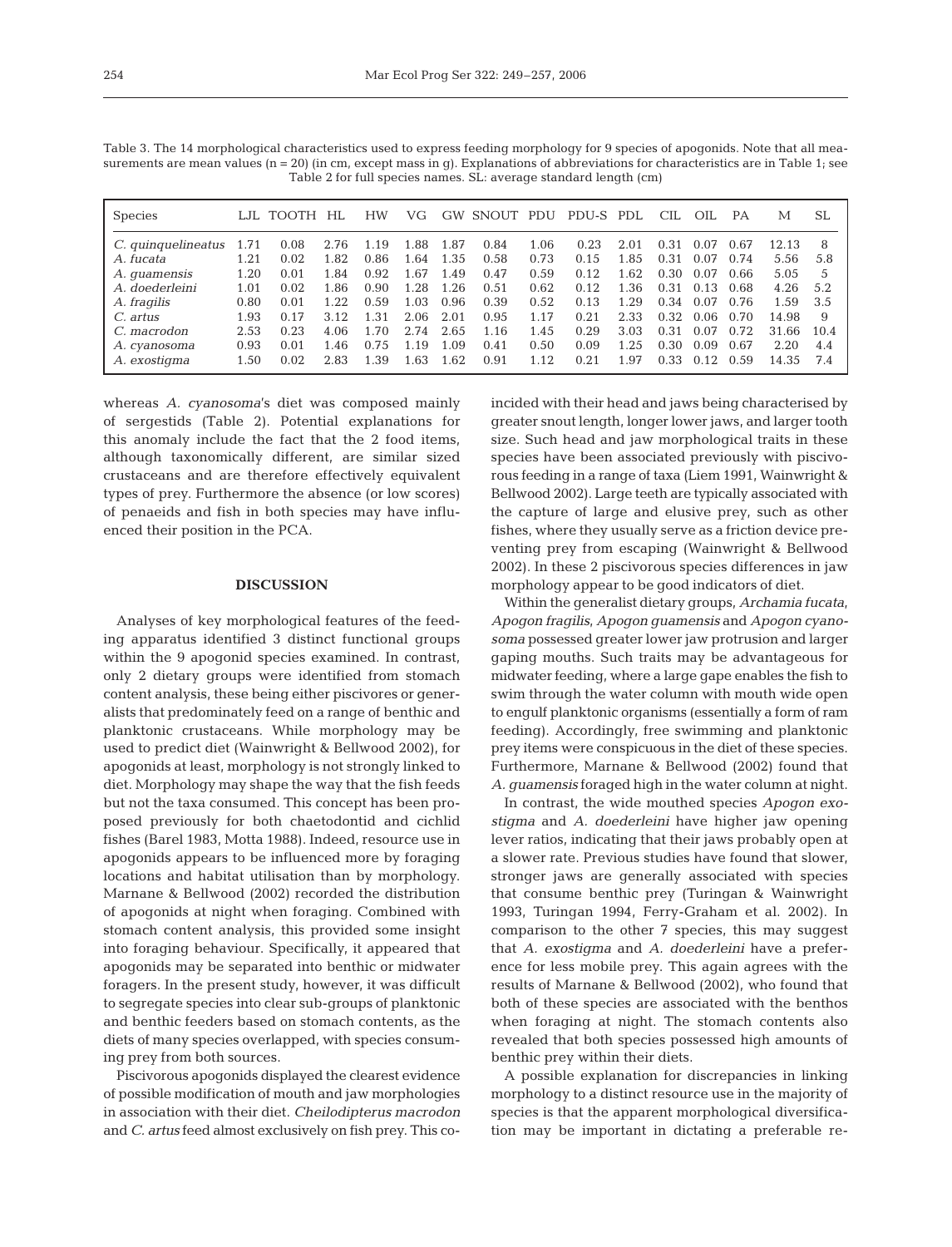| Table 3. The 14 morphological characteristics used to express feeding morphology for 9 species of apogonids. Note that all mea-         |  |
|-----------------------------------------------------------------------------------------------------------------------------------------|--|
| surements are mean values ( $n = 20$ ) (in cm, except mass in q). Explanations of abbreviations for characteristics are in Table 1; see |  |
| Table 2 for full species names. SL: average standard length (cm)                                                                        |  |

| <b>Species</b>      | LJL  | TOOTH | HL   | <b>HW</b> | VG   |      | <b>GW SNOUT</b> | PDU   | PDU-S PDL |      | CIL  | OIL  | <b>PA</b> | М     | SL   |
|---------------------|------|-------|------|-----------|------|------|-----------------|-------|-----------|------|------|------|-----------|-------|------|
| C. quinquelineatus  | 1.71 | 0.08  | 2.76 | 1.19      | 1.88 | 1.87 | 0.84            | 1.06  | 0.23      | 2.01 | 0.31 | 0.07 | 0.67      | 12.13 | 8    |
| A. fucata           | 1.21 | 0.02  | 1.82 | 0.86      | 1.64 | 1.35 | 0.58            | 0.73  | 0.15      | 1.85 | 0.31 | 0.07 | 0.74      | 5.56  | 5.8  |
| A. <i>guamensis</i> | 1.20 | 0.01  | 1.84 | 0.92      | 1.67 | 1.49 | 0.47            | 0.59  | 0.12      | 1.62 | 0.30 | 0.07 | 0.66      | 5.05  | 5    |
| A. doederleini      | 1.01 | 0.02  | 1.86 | 0.90      | 1.28 | 1.26 | 0.51            | 0.62  | 0.12      | 1.36 | 0.31 | 0.13 | 0.68      | 4.26  | 5.2  |
| A. fragilis         | 0.80 | 0.01  | 1.22 | 0.59      | 1.03 | 0.96 | 0.39            | 0.52  | 0.13      | 1.29 | 0.34 | 0.07 | 0.76      | 1.59  | 3.5  |
| C. artus            | 1.93 | 0.17  | 3.12 | 1.31      | 2.06 | 2.01 | 0.95            | 1.17  | 0.21      | 2.33 | 0.32 | 0.06 | 0.70      | 14.98 | 9    |
| C. macrodon         | 2.53 | 0.23  | 4.06 | 1.70      | 2.74 | 2.65 | 1.16            | 1.45  | 0.29      | 3.03 | 0.31 | 0.07 | 0.72      | 31.66 | 10.4 |
| A. cyanosoma        | 0.93 | 0.01  | 1.46 | 0.75      | 1.19 | 1.09 | 0.41            | 0.50  | 0.09      | 1.25 | 0.30 | 0.09 | 0.67      | 2.20  | 4.4  |
| A. exostigma        | 1.50 | 0.02  | 2.83 | 1.39      | 1.63 | 1.62 | 0.91            | 1.12. | 0.21      | 1.97 | 0.33 | 0.12 | 0.59      | 14.35 | 7.4  |

whereas *A. cyanosoma*'s diet was composed mainly of sergestids (Table 2). Potential explanations for this anomaly include the fact that the 2 food items, although taxonomically different, are similar sized crustaceans and are therefore effectively equivalent types of prey. Furthermore the absence (or low scores) of penaeids and fish in both species may have influenced their position in the PCA.

## **DISCUSSION**

Analyses of key morphological features of the feeding apparatus identified 3 distinct functional groups within the 9 apogonid species examined. In contrast, only 2 dietary groups were identified from stomach content analysis, these being either piscivores or generalists that predominately feed on a range of benthic and planktonic crustaceans. While morphology may be used to predict diet (Wainwright & Bellwood 2002), for apogonids at least, morphology is not strongly linked to diet. Morphology may shape the way that the fish feeds but not the taxa consumed. This concept has been proposed previously for both chaetodontid and cichlid fishes (Barel 1983, Motta 1988). Indeed, resource use in apogonids appears to be influenced more by foraging locations and habitat utilisation than by morphology. Marnane & Bellwood (2002) recorded the distribution of apogonids at night when foraging. Combined with stomach content analysis, this provided some insight into foraging behaviour. Specifically, it appeared that apogonids may be separated into benthic or midwater foragers. In the present study, however, it was difficult to segregate species into clear sub-groups of planktonic and benthic feeders based on stomach contents, as the diets of many species overlapped, with species consuming prey from both sources.

Piscivorous apogonids displayed the clearest evidence of possible modification of mouth and jaw morphologies in association with their diet. *Cheilodipterus macrodon* and *C. artus* feed almost exclusively on fish prey. This coincided with their head and jaws being characterised by greater snout length, longer lower jaws, and larger tooth size. Such head and jaw morphological traits in these species have been associated previously with piscivorous feeding in a range of taxa (Liem 1991, Wainwright & Bellwood 2002). Large teeth are typically associated with the capture of large and elusive prey, such as other fishes, where they usually serve as a friction device preventing prey from escaping (Wainwright & Bellwood 2002). In these 2 piscivorous species differences in jaw morphology appear to be good indicators of diet.

Within the generalist dietary groups, *Archamia fucata, Apogon fragilis, Apogon guamensis* and *Apogon cyanosoma* possessed greater lower jaw protrusion and larger gaping mouths. Such traits may be advantageous for midwater feeding, where a large gape enables the fish to swim through the water column with mouth wide open to engulf planktonic organisms (essentially a form of ram feeding). Accordingly, free swimming and planktonic prey items were conspicuous in the diet of these species. Furthermore, Marnane & Bellwood (2002) found that *A. guamensis* foraged high in the water column at night.

In contrast, the wide mouthed species *Apogon exostigma* and *A. doederleini* have higher jaw opening lever ratios, indicating that their jaws probably open at a slower rate. Previous studies have found that slower, stronger jaws are generally associated with species that consume benthic prey (Turingan & Wainwright 1993, Turingan 1994, Ferry-Graham et al. 2002). In comparison to the other 7 species, this may suggest that *A. exostigma* and *A. doederleini* have a preference for less mobile prey. This again agrees with the results of Marnane & Bellwood (2002), who found that both of these species are associated with the benthos when foraging at night. The stomach contents also revealed that both species possessed high amounts of benthic prey within their diets.

A possible explanation for discrepancies in linking morphology to a distinct resource use in the majority of species is that the apparent morphological diversification may be important in dictating a preferable re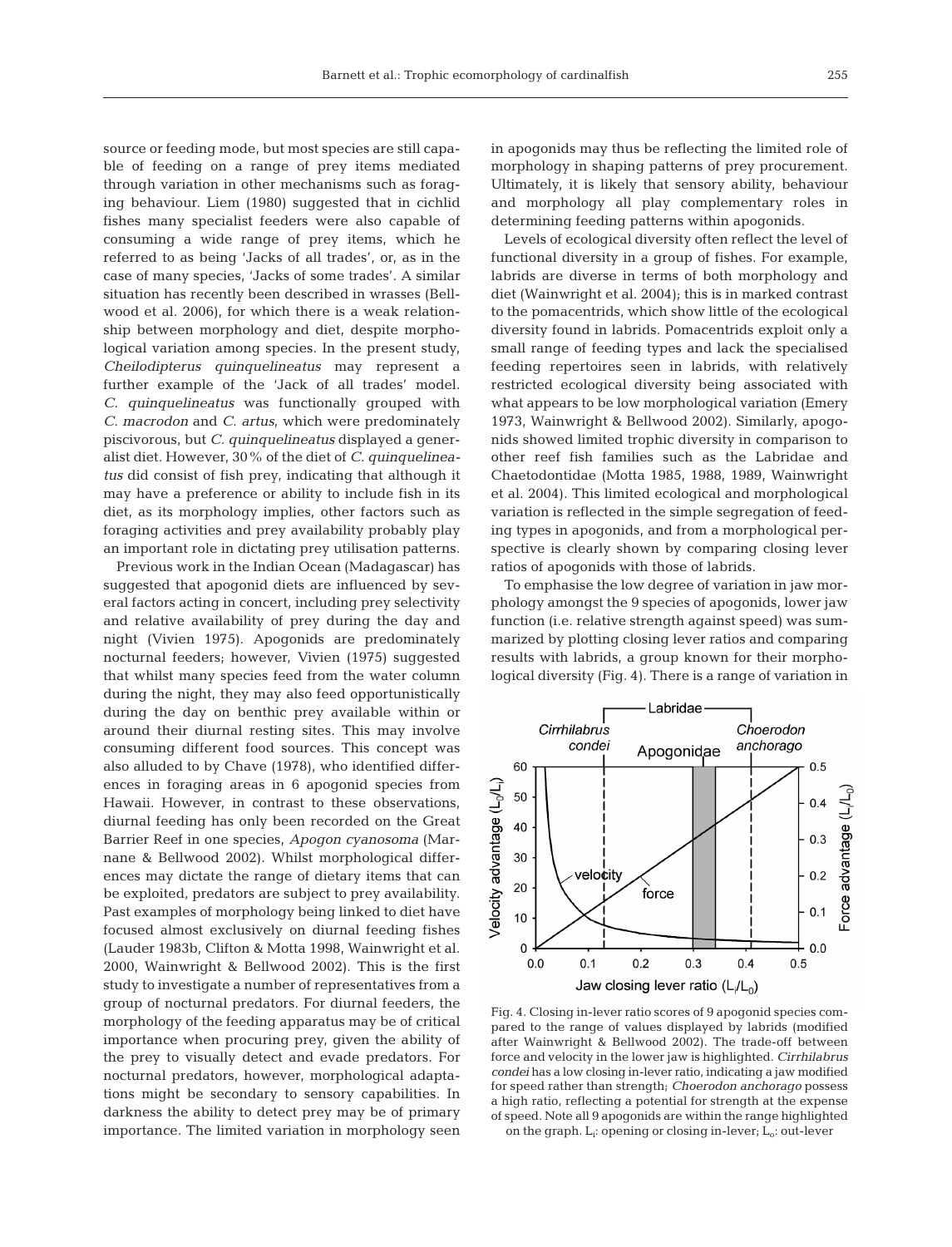source or feeding mode, but most species are still capable of feeding on a range of prey items mediated through variation in other mechanisms such as foraging behaviour. Liem (1980) suggested that in cichlid fishes many specialist feeders were also capable of consuming a wide range of prey items, which he referred to as being 'Jacks of all trades', or, as in the case of many species, 'Jacks of some trades'. A similar situation has recently been described in wrasses (Bellwood et al. 2006), for which there is a weak relationship between morphology and diet, despite morphological variation among species. In the present study, *Cheilodipterus quinquelineatus* may represent a further example of the 'Jack of all trades' model. *C. quinquelineatus* was functionally grouped with *C. macrodon* and *C. artus*, which were predominately piscivorous, but *C. quinquelineatus* displayed a generalist diet. However, 30% of the diet of *C. quinquelineatus* did consist of fish prey, indicating that although it may have a preference or ability to include fish in its diet, as its morphology implies, other factors such as foraging activities and prey availability probably play an important role in dictating prey utilisation patterns.

Previous work in the Indian Ocean (Madagascar) has suggested that apogonid diets are influenced by several factors acting in concert, including prey selectivity and relative availability of prey during the day and night (Vivien 1975). Apogonids are predominately nocturnal feeders; however, Vivien (1975) suggested that whilst many species feed from the water column during the night, they may also feed opportunistically during the day on benthic prey available within or around their diurnal resting sites. This may involve consuming different food sources. This concept was also alluded to by Chave (1978), who identified differences in foraging areas in 6 apogonid species from Hawaii. However, in contrast to these observations, diurnal feeding has only been recorded on the Great Barrier Reef in one species, *Apogon cyanosoma* (Marnane & Bellwood 2002). Whilst morphological differences may dictate the range of dietary items that can be exploited, predators are subject to prey availability. Past examples of morphology being linked to diet have focused almost exclusively on diurnal feeding fishes (Lauder 1983b, Clifton & Motta 1998, Wainwright et al. 2000, Wainwright & Bellwood 2002). This is the first study to investigate a number of representatives from a group of nocturnal predators. For diurnal feeders, the morphology of the feeding apparatus may be of critical importance when procuring prey, given the ability of the prey to visually detect and evade predators. For nocturnal predators, however, morphological adaptations might be secondary to sensory capabilities. In darkness the ability to detect prey may be of primary importance. The limited variation in morphology seen

in apogonids may thus be reflecting the limited role of morphology in shaping patterns of prey procurement. Ultimately, it is likely that sensory ability, behaviour and morphology all play complementary roles in determining feeding patterns within apogonids.

Levels of ecological diversity often reflect the level of functional diversity in a group of fishes. For example, labrids are diverse in terms of both morphology and diet (Wainwright et al. 2004); this is in marked contrast to the pomacentrids, which show little of the ecological diversity found in labrids. Pomacentrids exploit only a small range of feeding types and lack the specialised feeding repertoires seen in labrids, with relatively restricted ecological diversity being associated with what appears to be low morphological variation (Emery 1973, Wainwright & Bellwood 2002). Similarly, apogonids showed limited trophic diversity in comparison to other reef fish families such as the Labridae and Chaetodontidae (Motta 1985, 1988, 1989, Wainwright et al. 2004). This limited ecological and morphological variation is reflected in the simple segregation of feeding types in apogonids, and from a morphological perspective is clearly shown by comparing closing lever ratios of apogonids with those of labrids.

To emphasise the low degree of variation in jaw morphology amongst the 9 species of apogonids, lower jaw function (i.e. relative strength against speed) was summarized by plotting closing lever ratios and comparing results with labrids, a group known for their morphological diversity (Fig. 4). There is a range of variation in



Fig. 4. Closing in-lever ratio scores of 9 apogonid species compared to the range of values displayed by labrids (modified after Wainwright & Bellwood 2002). The trade-off between force and velocity in the lower jaw is highlighted. *Cirrhilabrus condei* has a low closing in-lever ratio, indicating a jaw modified for speed rather than strength; *Choerodon anchorago* possess a high ratio, reflecting a potential for strength at the expense of speed. Note all 9 apogonids are within the range highlighted on the graph.  $L_i$ : opening or closing in-lever;  $L_o$ : out-lever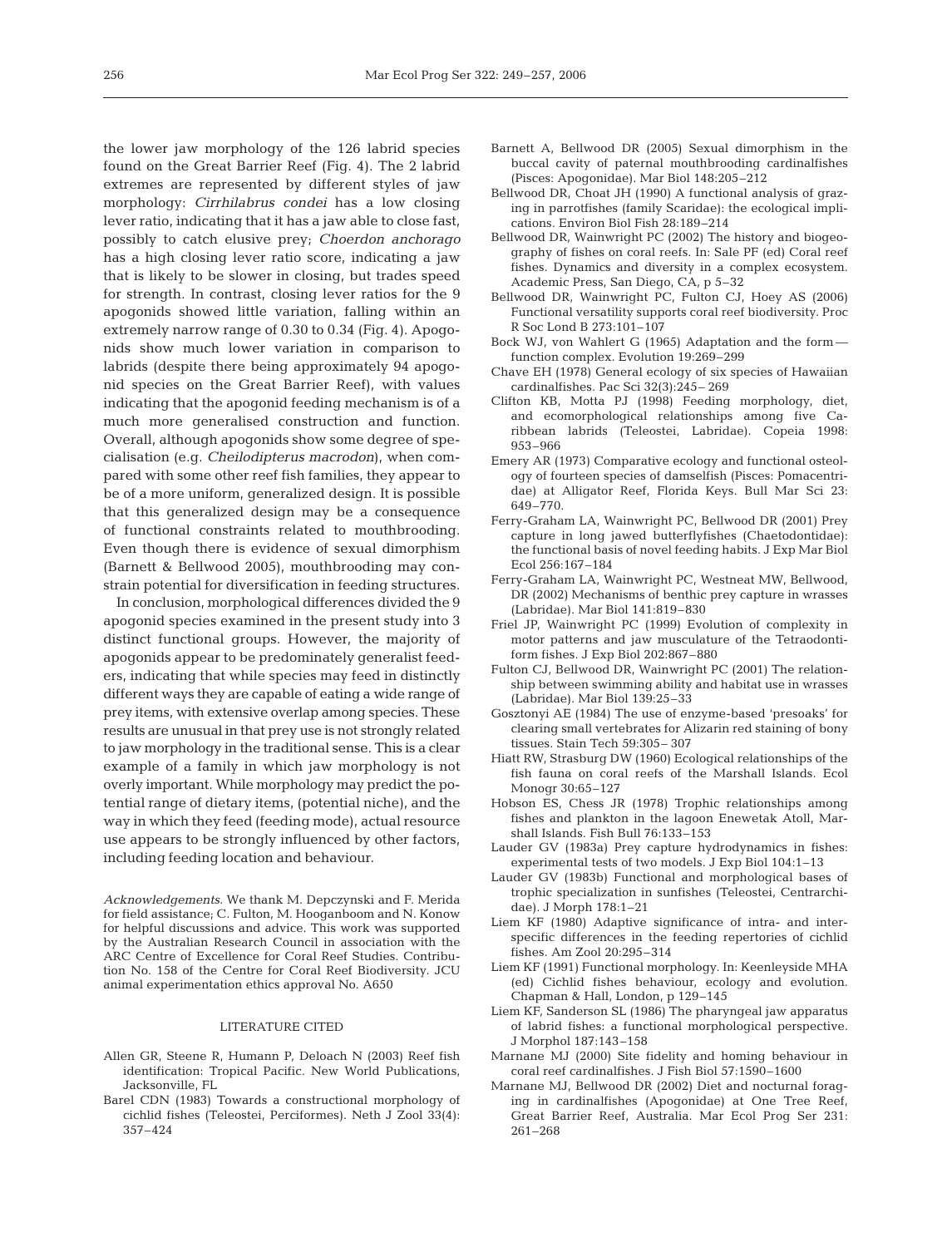the lower jaw morphology of the 126 labrid species found on the Great Barrier Reef (Fig. 4). The 2 labrid extremes are represented by different styles of jaw morphology: *Cirrhilabrus condei* has a low closing lever ratio, indicating that it has a jaw able to close fast, possibly to catch elusive prey; *Choerdon anchorago* has a high closing lever ratio score, indicating a jaw that is likely to be slower in closing, but trades speed for strength. In contrast, closing lever ratios for the 9 apogonids showed little variation, falling within an extremely narrow range of 0.30 to 0.34 (Fig. 4). Apogonids show much lower variation in comparison to labrids (despite there being approximately 94 apogonid species on the Great Barrier Reef), with values indicating that the apogonid feeding mechanism is of a much more generalised construction and function. Overall, although apogonids show some degree of specialisation (e.g. *Cheilodipterus macrodon*), when compared with some other reef fish families, they appear to be of a more uniform, generalized design. It is possible that this generalized design may be a consequence of functional constraints related to mouthbrooding. Even though there is evidence of sexual dimorphism (Barnett & Bellwood 2005), mouthbrooding may constrain potential for diversification in feeding structures.

In conclusion, morphological differences divided the 9 apogonid species examined in the present study into 3 distinct functional groups. However, the majority of apogonids appear to be predominately generalist feeders, indicating that while species may feed in distinctly different ways they are capable of eating a wide range of prey items, with extensive overlap among species. These results are unusual in that prey use is not strongly related to jaw morphology in the traditional sense. This is a clear example of a family in which jaw morphology is not overly important. While morphology may predict the potential range of dietary items, (potential niche), and the way in which they feed (feeding mode), actual resource use appears to be strongly influenced by other factors, including feeding location and behaviour.

*Acknowledgements.* We thank M. Depczynski and F. Merida for field assistance; C. Fulton, M. Hooganboom and N. Konow for helpful discussions and advice. This work was supported by the Australian Research Council in association with the ARC Centre of Excellence for Coral Reef Studies. Contribution No. 158 of the Centre for Coral Reef Biodiversity. JCU animal experimentation ethics approval No. A650

#### LITERATURE CITED

- Allen GR, Steene R, Humann P, Deloach N (2003) Reef fish identification: Tropical Pacific*.* New World Publications, Jacksonville, FL
- Barel CDN (1983) Towards a constructional morphology of cichlid fishes (Teleostei, Perciformes). Neth J Zool 33(4): 357–424
- Barnett A, Bellwood DR (2005) Sexual dimorphism in the buccal cavity of paternal mouthbrooding cardinalfishes (Pisces: Apogonidae). Mar Biol 148:205–212
- Bellwood DR, Choat JH (1990) A functional analysis of grazing in parrotfishes (family Scaridae): the ecological implications. Environ Biol Fish 28:189–214
- Bellwood DR, Wainwright PC (2002) The history and biogeography of fishes on coral reefs. In: Sale PF (ed) Coral reef fishes. Dynamics and diversity in a complex ecosystem. Academic Press, San Diego, CA, p 5–32
- Bellwood DR, Wainwright PC, Fulton CJ, Hoey AS (2006) Functional versatility supports coral reef biodiversity. Proc R Soc Lond B 273:101–107
- Bock WJ, von Wahlert G (1965) Adaptation and the form function complex. Evolution 19:269–299
- Chave EH (1978) General ecology of six species of Hawaiian cardinalfishes. Pac Sci 32(3):245– 269
- Clifton KB, Motta PJ (1998) Feeding morphology, diet, and ecomorphological relationships among five Caribbean labrids (Teleostei, Labridae). Copeia 1998: 953–966
- Emery AR (1973) Comparative ecology and functional osteology of fourteen species of damselfish (Pisces: Pomacentridae) at Alligator Reef, Florida Keys. Bull Mar Sci 23: 649–770.
- Ferry-Graham LA, Wainwright PC, Bellwood DR (2001) Prey capture in long jawed butterflyfishes (Chaetodontidae): the functional basis of novel feeding habits. J Exp Mar Biol Ecol 256:167–184
- Ferry-Graham LA, Wainwright PC, Westneat MW, Bellwood, DR (2002) Mechanisms of benthic prey capture in wrasses (Labridae). Mar Biol 141:819–830
- Friel JP, Wainwright PC (1999) Evolution of complexity in motor patterns and jaw musculature of the Tetraodontiform fishes. J Exp Biol 202:867–880
- Fulton CJ, Bellwood DR, Wainwright PC (2001) The relationship between swimming ability and habitat use in wrasses (Labridae). Mar Biol 139:25–33
- Gosztonyi AE (1984) The use of enzyme-based 'presoaks' for clearing small vertebrates for Alizarin red staining of bony tissues. Stain Tech 59:305– 307
- Hiatt RW, Strasburg DW (1960) Ecological relationships of the fish fauna on coral reefs of the Marshall Islands. Ecol Monogr 30:65–127
- Hobson ES, Chess JR (1978) Trophic relationships among fishes and plankton in the lagoon Enewetak Atoll, Marshall Islands. Fish Bull 76:133–153
- Lauder GV (1983a) Prey capture hydrodynamics in fishes: experimental tests of two models. J Exp Biol 104:1–13
- Lauder GV (1983b) Functional and morphological bases of trophic specialization in sunfishes (Teleostei, Centrarchidae). J Morph 178:1–21
- Liem KF (1980) Adaptive significance of intra- and interspecific differences in the feeding repertories of cichlid fishes. Am Zool 20:295–314
- Liem KF (1991) Functional morphology. In: Keenleyside MHA (ed) Cichlid fishes behaviour, ecology and evolution. Chapman & Hall, London, p 129–145
- Liem KF, Sanderson SL (1986) The pharyngeal jaw apparatus of labrid fishes: a functional morphological perspective. J Morphol 187:143–158
- Marnane MJ (2000) Site fidelity and homing behaviour in coral reef cardinalfishes. J Fish Biol 57:1590–1600
- Marnane MJ, Bellwood DR (2002) Diet and nocturnal foraging in cardinalfishes (Apogonidae) at One Tree Reef, Great Barrier Reef, Australia. Mar Ecol Prog Ser 231: 261–268